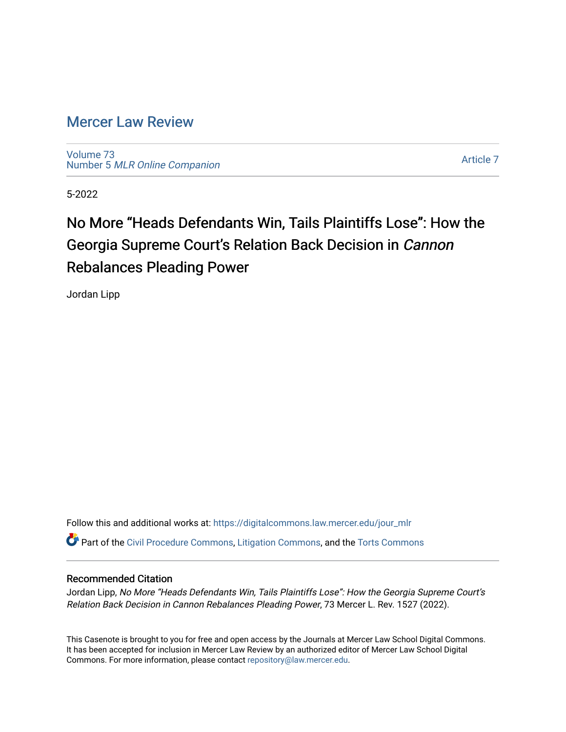# [Mercer Law Review](https://digitalcommons.law.mercer.edu/jour_mlr)

[Volume 73](https://digitalcommons.law.mercer.edu/jour_mlr/vol73) Number 5 [MLR Online Companion](https://digitalcommons.law.mercer.edu/jour_mlr/vol73/iss5) 

[Article 7](https://digitalcommons.law.mercer.edu/jour_mlr/vol73/iss5/7) 

5-2022

# No More "Heads Defendants Win, Tails Plaintiffs Lose": How the Georgia Supreme Court's Relation Back Decision in Cannon Rebalances Pleading Power

Jordan Lipp

Follow this and additional works at: [https://digitalcommons.law.mercer.edu/jour\\_mlr](https://digitalcommons.law.mercer.edu/jour_mlr?utm_source=digitalcommons.law.mercer.edu%2Fjour_mlr%2Fvol73%2Fiss5%2F7&utm_medium=PDF&utm_campaign=PDFCoverPages) Part of the [Civil Procedure Commons,](https://network.bepress.com/hgg/discipline/584?utm_source=digitalcommons.law.mercer.edu%2Fjour_mlr%2Fvol73%2Fiss5%2F7&utm_medium=PDF&utm_campaign=PDFCoverPages) [Litigation Commons](https://network.bepress.com/hgg/discipline/910?utm_source=digitalcommons.law.mercer.edu%2Fjour_mlr%2Fvol73%2Fiss5%2F7&utm_medium=PDF&utm_campaign=PDFCoverPages), and the [Torts Commons](https://network.bepress.com/hgg/discipline/913?utm_source=digitalcommons.law.mercer.edu%2Fjour_mlr%2Fvol73%2Fiss5%2F7&utm_medium=PDF&utm_campaign=PDFCoverPages) 

# Recommended Citation

Jordan Lipp, No More "Heads Defendants Win, Tails Plaintiffs Lose": How the Georgia Supreme Court's Relation Back Decision in Cannon Rebalances Pleading Power, 73 Mercer L. Rev. 1527 (2022).

This Casenote is brought to you for free and open access by the Journals at Mercer Law School Digital Commons. It has been accepted for inclusion in Mercer Law Review by an authorized editor of Mercer Law School Digital Commons. For more information, please contact [repository@law.mercer.edu.](mailto:repository@law.mercer.edu)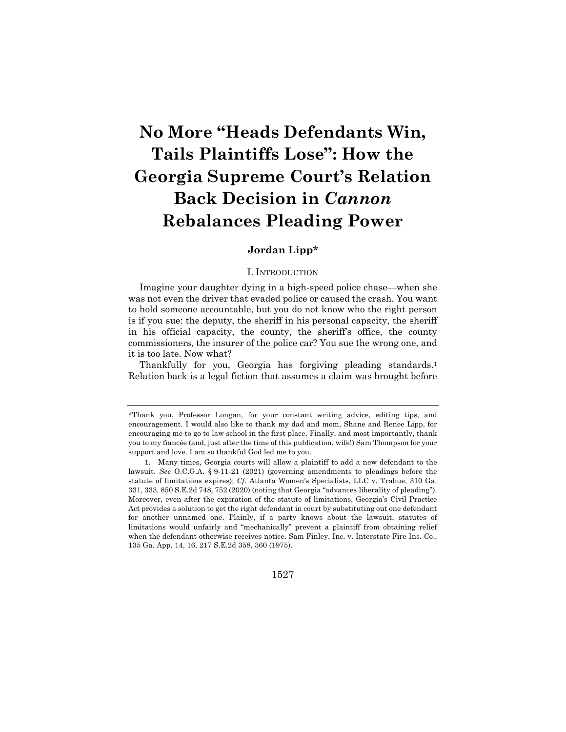# **No More "Heads Defendants Win, Tails Plaintiffs Lose": How the Georgia Supreme Court's Relation Back Decision in** *Cannon* **Rebalances Pleading Power**

# **Jordan Lipp\***

#### I. INTRODUCTION

Imagine your daughter dying in a high-speed police chase—when she was not even the driver that evaded police or caused the crash. You want to hold someone accountable, but you do not know who the right person is if you sue: the deputy, the sheriff in his personal capacity, the sheriff in his official capacity, the county, the sheriff's office, the county commissioners, the insurer of the police car? You sue the wrong one, and it is too late. Now what?

Thankfully for you, Georgia has forgiving pleading standards.1 Relation back is a legal fiction that assumes a claim was brought before

<sup>\*</sup>Thank you, Professor Longan, for your constant writing advice, editing tips, and encouragement. I would also like to thank my dad and mom, Shane and Renee Lipp, for encouraging me to go to law school in the first place. Finally, and most importantly, thank you to my fiancée (and, just after the time of this publication, wife!) Sam Thompson for your support and love. I am so thankful God led me to you.

<sup>1.</sup> Many times, Georgia courts will allow a plaintiff to add a new defendant to the lawsuit. *See* O.C.G.A. § 9-11-21 (2021) (governing amendments to pleadings before the statute of limitations expires); *Cf.* Atlanta Women's Specialists, LLC v. Trabue, 310 Ga. 331, 333, 850 S.E.2d 748, 752 (2020) (noting that Georgia "advances liberality of pleading"). Moreover, even after the expiration of the statute of limitations, Georgia's Civil Practice Act provides a solution to get the right defendant in court by substituting out one defendant for another unnamed one. Plainly, if a party knows about the lawsuit, statutes of limitations would unfairly and "mechanically" prevent a plaintiff from obtaining relief when the defendant otherwise receives notice. Sam Finley, Inc. v. Interstate Fire Ins. Co., 135 Ga. App. 14, 16, 217 S.E.2d 358, 360 (1975).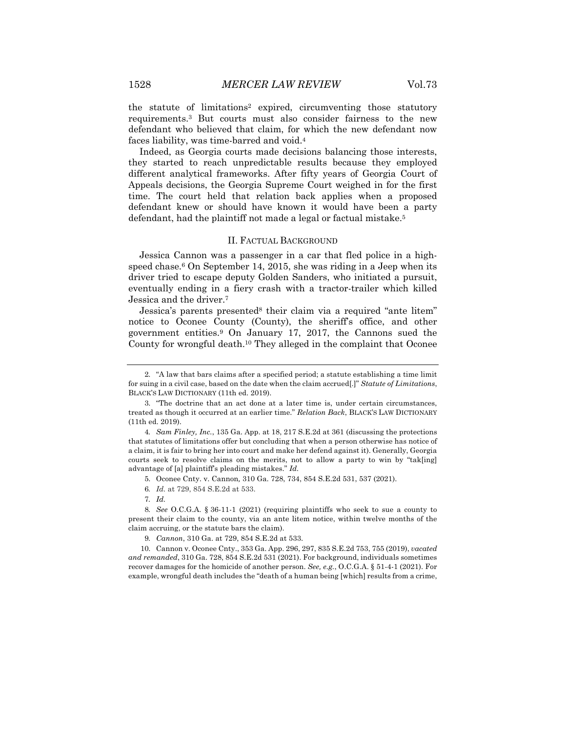the statute of limitations2 expired, circumventing those statutory requirements.3 But courts must also consider fairness to the new defendant who believed that claim, for which the new defendant now faces liability, was time-barred and void.4

Indeed, as Georgia courts made decisions balancing those interests, they started to reach unpredictable results because they employed different analytical frameworks. After fifty years of Georgia Court of Appeals decisions, the Georgia Supreme Court weighed in for the first time. The court held that relation back applies when a proposed defendant knew or should have known it would have been a party defendant, had the plaintiff not made a legal or factual mistake.<sup>5</sup>

#### II. FACTUAL BACKGROUND

Jessica Cannon was a passenger in a car that fled police in a highspeed chase.<sup>6</sup> On September 14, 2015, she was riding in a Jeep when its driver tried to escape deputy Golden Sanders, who initiated a pursuit, eventually ending in a fiery crash with a tractor-trailer which killed Jessica and the driver.7

Jessica's parents presented<sup>8</sup> their claim via a required "ante litem" notice to Oconee County (County), the sheriff's office, and other government entities.9 On January 17, 2017, the Cannons sued the County for wrongful death.10 They alleged in the complaint that Oconee

7*. Id.*

8*. See* O.C.G.A. § 36-11-1 (2021) (requiring plaintiffs who seek to sue a county to present their claim to the county, via an ante litem notice, within twelve months of the claim accruing, or the statute bars the claim).

<sup>2.</sup> "A law that bars claims after a specified period; a statute establishing a time limit for suing in a civil case, based on the date when the claim accrued[.]" *Statute of Limitations*, BLACK'S LAW DICTIONARY (11th ed. 2019).

<sup>3.</sup> "The doctrine that an act done at a later time is, under certain circumstances, treated as though it occurred at an earlier time." *Relation Back*, BLACK'S LAW DICTIONARY (11th ed. 2019).

<sup>4</sup>*. Sam Finley, Inc.*, 135 Ga. App. at 18, 217 S.E.2d at 361 (discussing the protections that statutes of limitations offer but concluding that when a person otherwise has notice of a claim, it is fair to bring her into court and make her defend against it). Generally, Georgia courts seek to resolve claims on the merits, not to allow a party to win by "tak[ing] advantage of [a] plaintiff's pleading mistakes." *Id.*

<sup>5.</sup> Oconee Cnty. v. Cannon*,* 310 Ga. 728, 734, 854 S.E.2d 531, 537 (2021).

<sup>6</sup>*. Id.* at 729, 854 S.E.2d at 533.

<sup>9</sup>*. Cannon*, 310 Ga. at 729, 854 S.E.2d at 533.

<sup>10.</sup> Cannon v. Oconee Cnty., 353 Ga. App. 296, 297, 835 S.E.2d 753, 755 (2019), *vacated and remanded*, 310 Ga. 728, 854 S.E.2d 531 (2021). For background, individuals sometimes recover damages for the homicide of another person. *See, e.g.*, O.C.G.A. § 51-4-1 (2021). For example, wrongful death includes the "death of a human being [which] results from a crime,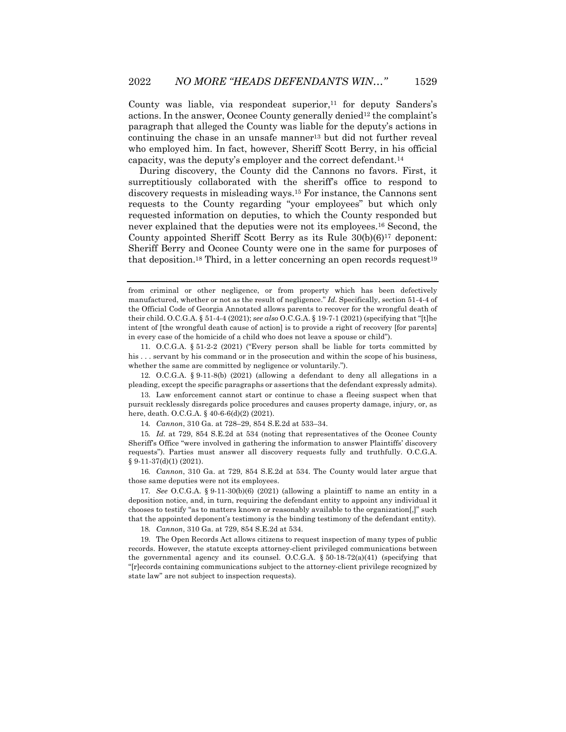County was liable, via respondeat superior, $11$  for deputy Sanders's actions. In the answer, Oconee County generally denied<sup>12</sup> the complaint's paragraph that alleged the County was liable for the deputy's actions in continuing the chase in an unsafe manner<sup>13</sup> but did not further reveal who employed him. In fact, however, Sheriff Scott Berry, in his official capacity, was the deputy's employer and the correct defendant.14

During discovery, the County did the Cannons no favors. First, it surreptitiously collaborated with the sheriff's office to respond to discovery requests in misleading ways.15 For instance, the Cannons sent requests to the County regarding "your employees" but which only requested information on deputies, to which the County responded but never explained that the deputies were not its employees.16 Second, the County appointed Sheriff Scott Berry as its Rule 30(b)(6)17 deponent: Sheriff Berry and Oconee County were one in the same for purposes of that deposition.<sup>18</sup> Third, in a letter concerning an open records request<sup>19</sup>

11. O.C.G.A. § 51-2-2 (2021) ("Every person shall be liable for torts committed by his . . . servant by his command or in the prosecution and within the scope of his business, whether the same are committed by negligence or voluntarily.").

12. O.C.G.A. § 9-11-8(b) (2021) (allowing a defendant to deny all allegations in a pleading, except the specific paragraphs or assertions that the defendant expressly admits).

13. Law enforcement cannot start or continue to chase a fleeing suspect when that pursuit recklessly disregards police procedures and causes property damage, injury, or, as here, death. O.C.G.A. § 40-6-6(d)(2) (2021).

14*. Cannon*, 310 Ga. at 728–29, 854 S.E.2d at 533–34.

15*. Id.* at 729, 854 S.E.2d at 534 (noting that representatives of the Oconee County Sheriff's Office "were involved in gathering the information to answer Plaintiffs' discovery requests"). Parties must answer all discovery requests fully and truthfully. O.C.G.A. § 9-11-37(d)(1) (2021).

16*. Cannon*, 310 Ga. at 729, 854 S.E.2d at 534. The County would later argue that those same deputies were not its employees.

17*. See* O.C.G.A. § 9-11-30(b)(6) (2021) (allowing a plaintiff to name an entity in a deposition notice, and, in turn, requiring the defendant entity to appoint any individual it chooses to testify "as to matters known or reasonably available to the organization[,]" such that the appointed deponent's testimony is the binding testimony of the defendant entity).

18*. Cannon*, 310 Ga. at 729, 854 S.E.2d at 534.

19. The Open Records Act allows citizens to request inspection of many types of public records. However, the statute excepts attorney-client privileged communications between the governmental agency and its counsel. O.C.G.A.  $\S 50-18-72(a)(41)$  (specifying that "[r]ecords containing communications subject to the attorney-client privilege recognized by state law" are not subject to inspection requests).

from criminal or other negligence, or from property which has been defectively manufactured, whether or not as the result of negligence." *Id.* Specifically, section 51-4-4 of the Official Code of Georgia Annotated allows parents to recover for the wrongful death of their child. O.C.G.A. § 51-4-4 (2021); *see also* O.C.G.A. § 19-7-1 (2021) (specifying that "[t]he intent of [the wrongful death cause of action] is to provide a right of recovery [for parents] in every case of the homicide of a child who does not leave a spouse or child").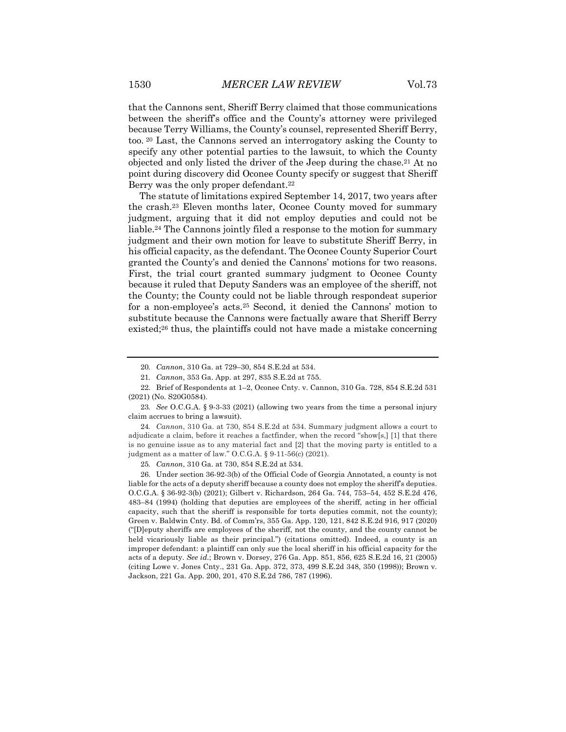that the Cannons sent, Sheriff Berry claimed that those communications between the sheriff's office and the County's attorney were privileged because Terry Williams, the County's counsel, represented Sheriff Berry, too. <sup>20</sup> Last, the Cannons served an interrogatory asking the County to specify any other potential parties to the lawsuit, to which the County objected and only listed the driver of the Jeep during the chase.21 At no point during discovery did Oconee County specify or suggest that Sheriff Berry was the only proper defendant.<sup>22</sup>

The statute of limitations expired September 14, 2017, two years after the crash.23 Eleven months later, Oconee County moved for summary judgment, arguing that it did not employ deputies and could not be liable.<sup>24</sup> The Cannons jointly filed a response to the motion for summary judgment and their own motion for leave to substitute Sheriff Berry, in his official capacity, as the defendant. The Oconee County Superior Court granted the County's and denied the Cannons' motions for two reasons. First, the trial court granted summary judgment to Oconee County because it ruled that Deputy Sanders was an employee of the sheriff, not the County; the County could not be liable through respondeat superior for a non-employee's acts.25 Second, it denied the Cannons' motion to substitute because the Cannons were factually aware that Sheriff Berry existed;26 thus, the plaintiffs could not have made a mistake concerning

24*. Cannon*, 310 Ga. at 730, 854 S.E.2d at 534. Summary judgment allows a court to adjudicate a claim, before it reaches a factfinder, when the record "show[s,] [1] that there is no genuine issue as to any material fact and [2] that the moving party is entitled to a judgment as a matter of law." O.C.G.A. § 9-11-56(c) (2021).

25*. Cannon*, 310 Ga. at 730, 854 S.E.2d at 534*.*

26. Under section 36-92-3(b) of the Official Code of Georgia Annotated, a county is not liable for the acts of a deputy sheriff because a county does not employ the sheriff's deputies. O.C.G.A. § 36-92-3(b) (2021); Gilbert v. Richardson, 264 Ga. 744, 753–54, 452 S.E.2d 476, 483–84 (1994) (holding that deputies are employees of the sheriff, acting in her official capacity, such that the sheriff is responsible for torts deputies commit, not the county); Green v. Baldwin Cnty. Bd. of Comm'rs, 355 Ga. App. 120, 121, 842 S.E.2d 916, 917 (2020) ("[D]eputy sheriffs are employees of the sheriff, not the county, and the county cannot be held vicariously liable as their principal.") (citations omitted). Indeed, a county is an improper defendant: a plaintiff can only sue the local sheriff in his official capacity for the acts of a deputy. *See id.*; Brown v. Dorsey, 276 Ga. App. 851, 856, 625 S.E.2d 16, 21 (2005) (citing Lowe v. Jones Cnty., 231 Ga. App. 372, 373, 499 S.E.2d 348, 350 (1998)); Brown v. Jackson, 221 Ga. App. 200, 201, 470 S.E.2d 786, 787 (1996).

<sup>20</sup>*. Cannon*, 310 Ga. at 729–30, 854 S.E.2d at 534.

<sup>21</sup>*. Cannon*, 353 Ga. App. at 297, 835 S.E.2d at 755.

<sup>22.</sup> Brief of Respondents at 1–2, Oconee Cnty. v. Cannon, 310 Ga. 728, 854 S.E.2d 531 (2021) (No. S20G0584).

<sup>23</sup>*. See* O.C.G.A. § 9-3-33 (2021) (allowing two years from the time a personal injury claim accrues to bring a lawsuit).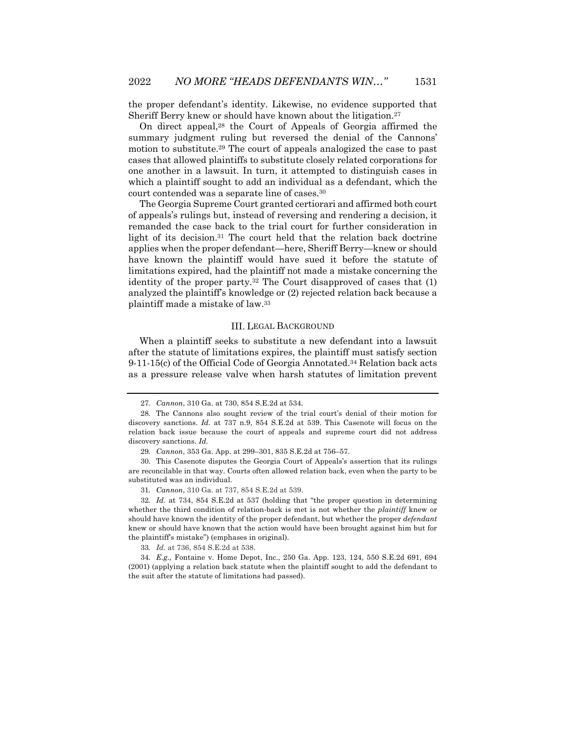the proper defendant's identity. Likewise, no evidence supported that Sheriff Berry knew or should have known about the litigation.27

On direct appeal,28 the Court of Appeals of Georgia affirmed the summary judgment ruling but reversed the denial of the Cannons' motion to substitute.29 The court of appeals analogized the case to past cases that allowed plaintiffs to substitute closely related corporations for one another in a lawsuit. In turn, it attempted to distinguish cases in which a plaintiff sought to add an individual as a defendant, which the court contended was a separate line of cases.30

The Georgia Supreme Court granted certiorari and affirmed both court of appeals's rulings but, instead of reversing and rendering a decision, it remanded the case back to the trial court for further consideration in light of its decision.31 The court held that the relation back doctrine applies when the proper defendant—here, Sheriff Berry—knew or should have known the plaintiff would have sued it before the statute of limitations expired, had the plaintiff not made a mistake concerning the identity of the proper party.32 The Court disapproved of cases that (1) analyzed the plaintiff's knowledge or (2) rejected relation back because a plaintiff made a mistake of law.33

#### III. LEGAL BACKGROUND

When a plaintiff seeks to substitute a new defendant into a lawsuit after the statute of limitations expires, the plaintiff must satisfy section 9-11-15(c) of the Official Code of Georgia Annotated.34 Relation back acts as a pressure release valve when harsh statutes of limitation prevent

<sup>27</sup>*. Cannon*, 310 Ga. at 730, 854 S.E.2d at 534.

<sup>28.</sup> The Cannons also sought review of the trial court's denial of their motion for discovery sanctions. *Id.* at 737 n.9, 854 S.E.2d at 539. This Casenote will focus on the relation back issue because the court of appeals and supreme court did not address discovery sanctions. *Id.*

<sup>29</sup>*. Cannon*, 353 Ga. App. at 299–301, 835 S.E.2d at 756–57.

<sup>30.</sup> This Casenote disputes the Georgia Court of Appeals's assertion that its rulings are reconcilable in that way. Courts often allowed relation back, even when the party to be substituted was an individual.

<sup>31</sup>*. Cannon*, 310 Ga. at 737, 854 S.E.2d at 539.

<sup>32</sup>*. Id.* at 734, 854 S.E.2d at 537 (holding that "the proper question in determining whether the third condition of relation-back is met is not whether the *plaintiff* knew or should have known the identity of the proper defendant, but whether the proper *defendant* knew or should have known that the action would have been brought against him but for the plaintiff's mistake") (emphases in original).

<sup>33</sup>*. Id.* at 736, 854 S.E.2d at 538.

<sup>34</sup>*. E.g.,* Fontaine v. Home Depot, Inc., 250 Ga. App. 123, 124, 550 S.E.2d 691, 694 (2001) (applying a relation back statute when the plaintiff sought to add the defendant to the suit after the statute of limitations had passed).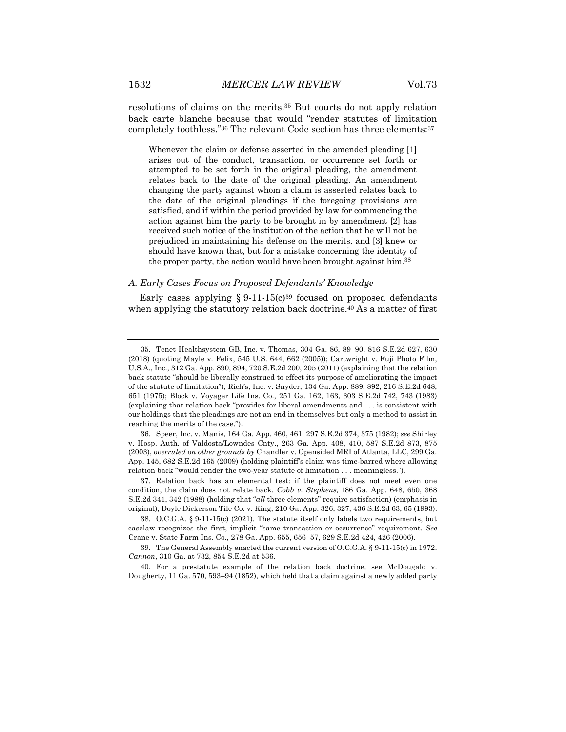resolutions of claims on the merits.35 But courts do not apply relation back carte blanche because that would "render statutes of limitation completely toothless."36 The relevant Code section has three elements:37

Whenever the claim or defense asserted in the amended pleading [1] arises out of the conduct, transaction, or occurrence set forth or attempted to be set forth in the original pleading, the amendment relates back to the date of the original pleading. An amendment changing the party against whom a claim is asserted relates back to the date of the original pleadings if the foregoing provisions are satisfied, and if within the period provided by law for commencing the action against him the party to be brought in by amendment [2] has received such notice of the institution of the action that he will not be prejudiced in maintaining his defense on the merits, and [3] knew or should have known that, but for a mistake concerning the identity of the proper party, the action would have been brought against him.<sup>38</sup>

#### *A. Early Cases Focus on Proposed Defendants' Knowledge*

Early cases applying  $\S 9.11-15(c)^{39}$  focused on proposed defendants when applying the statutory relation back doctrine.<sup>40</sup> As a matter of first

<sup>35.</sup> Tenet Healthsystem GB, Inc. v. Thomas, 304 Ga. 86, 89–90, 816 S.E.2d 627, 630 (2018) (quoting Mayle v. Felix, 545 U.S. 644, 662 (2005)); Cartwright v. Fuji Photo Film, U.S.A., Inc., 312 Ga. App. 890, 894, 720 S.E.2d 200, 205 (2011) (explaining that the relation back statute "should be liberally construed to effect its purpose of ameliorating the impact of the statute of limitation"); Rich's, Inc. v. Snyder, 134 Ga. App. 889, 892, 216 S.E.2d 648, 651 (1975); Block v. Voyager Life Ins. Co., 251 Ga. 162, 163, 303 S.E.2d 742, 743 (1983) (explaining that relation back "provides for liberal amendments and . . . is consistent with our holdings that the pleadings are not an end in themselves but only a method to assist in reaching the merits of the case.").

<sup>36.</sup> Speer, Inc. v. Manis, 164 Ga. App. 460, 461, 297 S.E.2d 374, 375 (1982); *see* Shirley v. Hosp. Auth. of Valdosta/Lowndes Cnty., 263 Ga. App. 408, 410, 587 S.E.2d 873, 875 (2003), *overruled on other grounds by* Chandler v. Opensided MRI of Atlanta, LLC, 299 Ga. App. 145, 682 S.E.2d 165 (2009) (holding plaintiff's claim was time-barred where allowing relation back "would render the two-year statute of limitation . . . meaningless.").

<sup>37.</sup> Relation back has an elemental test: if the plaintiff does not meet even one condition, the claim does not relate back. *Cobb v. Stephens,* 186 Ga. App. 648, 650, 368 S.E.2d 341, 342 (1988) (holding that "*all* three elements" require satisfaction) (emphasis in original); Doyle Dickerson Tile Co. v. King, 210 Ga. App. 326, 327, 436 S.E.2d 63, 65 (1993).

<sup>38.</sup> O.C.G.A. § 9-11-15(c) (2021). The statute itself only labels two requirements, but caselaw recognizes the first, implicit "same transaction or occurrence" requirement. *See* Crane v. State Farm Ins. Co., 278 Ga. App. 655, 656–57, 629 S.E.2d 424, 426 (2006).

<sup>39.</sup> The General Assembly enacted the current version of O.C.G.A. § 9-11-15(c) in 1972. *Cannon*, 310 Ga. at 732, 854 S.E.2d at 536.

<sup>40.</sup> For a prestatute example of the relation back doctrine, see McDougald v. Dougherty, 11 Ga. 570, 593–94 (1852), which held that a claim against a newly added party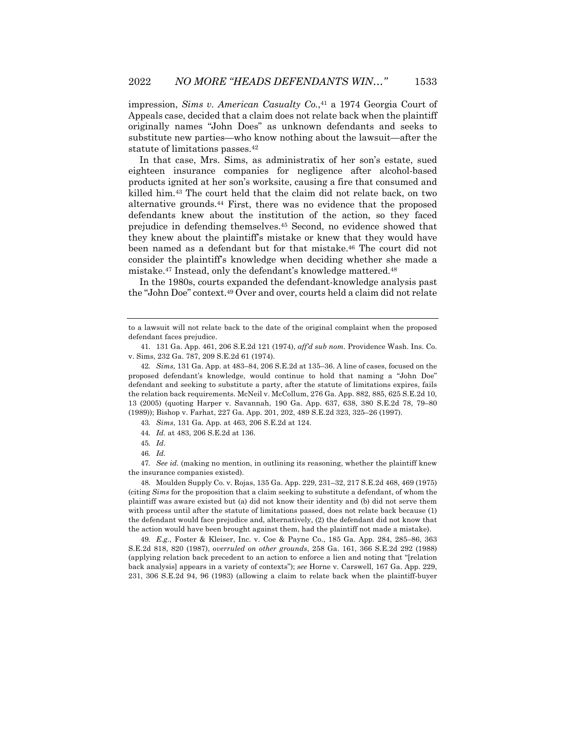impression, *Sims v. American Casualty Co.*,41 a 1974 Georgia Court of Appeals case, decided that a claim does not relate back when the plaintiff originally names "John Does" as unknown defendants and seeks to substitute new parties—who know nothing about the lawsuit—after the statute of limitations passes.42

In that case, Mrs. Sims, as administratix of her son's estate, sued eighteen insurance companies for negligence after alcohol-based products ignited at her son's worksite, causing a fire that consumed and killed him.43 The court held that the claim did not relate back, on two alternative grounds.44 First, there was no evidence that the proposed defendants knew about the institution of the action, so they faced prejudice in defending themselves.45 Second, no evidence showed that they knew about the plaintiff's mistake or knew that they would have been named as a defendant but for that mistake.46 The court did not consider the plaintiff's knowledge when deciding whether she made a mistake.47 Instead, only the defendant's knowledge mattered.48

In the 1980s, courts expanded the defendant-knowledge analysis past the "John Doe" context.49 Over and over, courts held a claim did not relate

42*. Sims,* 131 Ga. App. at 483–84, 206 S.E.2d at 135–36. A line of cases, focused on the proposed defendant's knowledge, would continue to hold that naming a "John Doe" defendant and seeking to substitute a party, after the statute of limitations expires, fails the relation back requirements. McNeil v. McCollum, 276 Ga. App. 882, 885, 625 S.E.2d 10, 13 (2005) (quoting Harper v. Savannah, 190 Ga. App. 637, 638, 380 S.E.2d 78, 79–80 (1989)); Bishop v. Farhat, 227 Ga. App. 201, 202, 489 S.E.2d 323, 325–26 (1997).

43*. Sims*, 131 Ga. App. at 463, 206 S.E.2d at 124.

46*. Id.*

47*. See id.* (making no mention, in outlining its reasoning, whether the plaintiff knew the insurance companies existed).

48. Moulden Supply Co. v. Rojas, 135 Ga. App. 229, 231–32, 217 S.E.2d 468, 469 (1975) (citing *Sims* for the proposition that a claim seeking to substitute a defendant, of whom the plaintiff was aware existed but (a) did not know their identity and (b) did not serve them with process until after the statute of limitations passed, does not relate back because (1) the defendant would face prejudice and, alternatively, (2) the defendant did not know that the action would have been brought against them, had the plaintiff not made a mistake).

49*. E.g.*, Foster & Kleiser, Inc. v. Coe & Payne Co., 185 Ga. App. 284, 285–86, 363 S.E.2d 818, 820 (1987), *overruled on other grounds*, 258 Ga. 161, 366 S.E.2d 292 (1988) (applying relation back precedent to an action to enforce a lien and noting that "[relation back analysis] appears in a variety of contexts"); *see* Horne v. Carswell, 167 Ga. App. 229, 231, 306 S.E.2d 94, 96 (1983) (allowing a claim to relate back when the plaintiff-buyer

to a lawsuit will not relate back to the date of the original complaint when the proposed defendant faces prejudice.

<sup>41.</sup> 131 Ga. App. 461, 206 S.E.2d 121 (1974), *aff'd sub nom.* Providence Wash. Ins. Co. v. Sims, 232 Ga. 787, 209 S.E.2d 61 (1974).

<sup>44</sup>*. Id.* at 483, 206 S.E.2d at 136.

<sup>45</sup>*. Id.*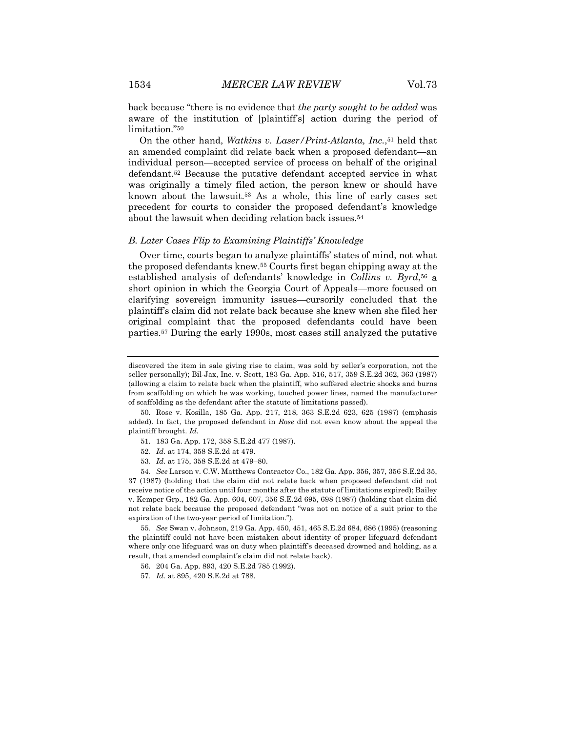back because "there is no evidence that *the party sought to be added* was aware of the institution of [plaintiff's] action during the period of limitation."50

On the other hand, *Watkins v. Laser/Print-Atlanta, Inc.*,<sup>51</sup> held that an amended complaint did relate back when a proposed defendant—an individual person—accepted service of process on behalf of the original defendant.52 Because the putative defendant accepted service in what was originally a timely filed action, the person knew or should have known about the lawsuit.53 As a whole, this line of early cases set precedent for courts to consider the proposed defendant's knowledge about the lawsuit when deciding relation back issues.<sup>54</sup>

#### *B. Later Cases Flip to Examining Plaintiffs' Knowledge*

Over time, courts began to analyze plaintiffs' states of mind, not what the proposed defendants knew.55 Courts first began chipping away at the established analysis of defendants' knowledge in *Collins v. Byrd*,56 a short opinion in which the Georgia Court of Appeals—more focused on clarifying sovereign immunity issues—cursorily concluded that the plaintiff's claim did not relate back because she knew when she filed her original complaint that the proposed defendants could have been parties.57 During the early 1990s, most cases still analyzed the putative

- 51. 183 Ga. App. 172, 358 S.E.2d 477 (1987).
- 52*. Id.* at 174, 358 S.E.2d at 479.
- 53*. Id.* at 175, 358 S.E.2d at 479–80.

54*. See* Larson v. C.W. Matthews Contractor Co., 182 Ga. App. 356, 357, 356 S.E.2d 35, 37 (1987) (holding that the claim did not relate back when proposed defendant did not receive notice of the action until four months after the statute of limitations expired); Bailey v. Kemper Grp., 182 Ga. App. 604, 607, 356 S.E.2d 695, 698 (1987) (holding that claim did not relate back because the proposed defendant "was not on notice of a suit prior to the expiration of the two-year period of limitation.").

55*. See* Swan v. Johnson, 219 Ga. App. 450, 451, 465 S.E.2d 684, 686 (1995) (reasoning the plaintiff could not have been mistaken about identity of proper lifeguard defendant where only one lifeguard was on duty when plaintiff's deceased drowned and holding, as a result, that amended complaint's claim did not relate back).

56. 204 Ga. App. 893, 420 S.E.2d 785 (1992).

57*. Id.* at 895, 420 S.E.2d at 788.

discovered the item in sale giving rise to claim, was sold by seller's corporation, not the seller personally); Bil-Jax, Inc. v. Scott, 183 Ga. App. 516, 517, 359 S.E.2d 362, 363 (1987) (allowing a claim to relate back when the plaintiff, who suffered electric shocks and burns from scaffolding on which he was working, touched power lines, named the manufacturer of scaffolding as the defendant after the statute of limitations passed).

<sup>50.</sup> Rose v. Kosilla, 185 Ga. App. 217, 218, 363 S.E.2d 623, 625 (1987) (emphasis added). In fact, the proposed defendant in *Rose* did not even know about the appeal the plaintiff brought. *Id.*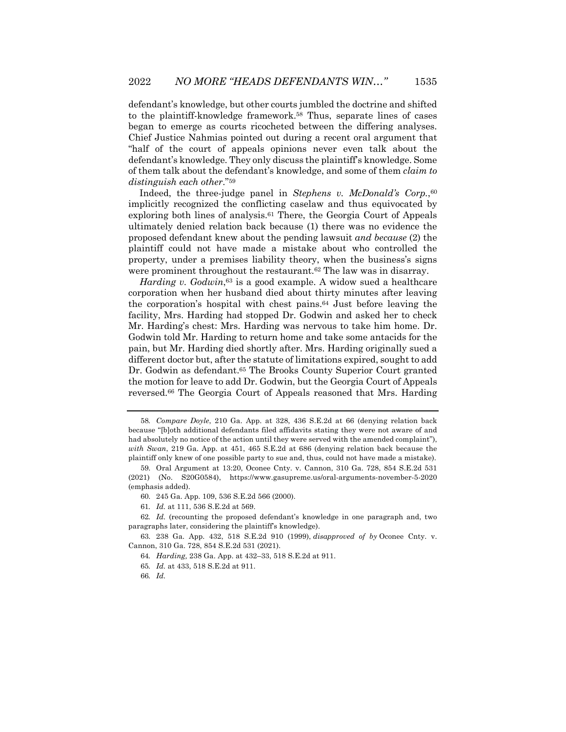defendant's knowledge, but other courts jumbled the doctrine and shifted to the plaintiff-knowledge framework.58 Thus, separate lines of cases began to emerge as courts ricocheted between the differing analyses. Chief Justice Nahmias pointed out during a recent oral argument that "half of the court of appeals opinions never even talk about the defendant's knowledge. They only discuss the plaintiff's knowledge. Some of them talk about the defendant's knowledge, and some of them *claim to distinguish each other*."59

Indeed, the three-judge panel in *Stephens v. McDonald's Corp.*,60 implicitly recognized the conflicting caselaw and thus equivocated by exploring both lines of analysis.61 There, the Georgia Court of Appeals ultimately denied relation back because (1) there was no evidence the proposed defendant knew about the pending lawsuit *and because* (2) the plaintiff could not have made a mistake about who controlled the property, under a premises liability theory, when the business's signs were prominent throughout the restaurant.<sup>62</sup> The law was in disarray.

*Harding v. Godwin*<sup>63</sup> is a good example. A widow sued a healthcare corporation when her husband died about thirty minutes after leaving the corporation's hospital with chest pains.64 Just before leaving the facility, Mrs. Harding had stopped Dr. Godwin and asked her to check Mr. Harding's chest: Mrs. Harding was nervous to take him home. Dr. Godwin told Mr. Harding to return home and take some antacids for the pain, but Mr. Harding died shortly after. Mrs. Harding originally sued a different doctor but, after the statute of limitations expired, sought to add Dr. Godwin as defendant.<sup>65</sup> The Brooks County Superior Court granted the motion for leave to add Dr. Godwin, but the Georgia Court of Appeals reversed.66 The Georgia Court of Appeals reasoned that Mrs. Harding

<sup>58</sup>*. Compare Doyle*, 210 Ga. App. at 328, 436 S.E.2d at 66 (denying relation back because "[b]oth additional defendants filed affidavits stating they were not aware of and had absolutely no notice of the action until they were served with the amended complaint"), *with Swan*, 219 Ga. App. at 451, 465 S.E.2d at 686 (denying relation back because the plaintiff only knew of one possible party to sue and, thus, could not have made a mistake).

<sup>59.</sup> Oral Argument at 13:20, Oconee Cnty. v. Cannon, 310 Ga. 728, 854 S.E.2d 531 (2021) (No. S20G0584), https://www.gasupreme.us/oral-arguments-november-5-2020 (emphasis added).

<sup>60.</sup> 245 Ga. App. 109, 536 S.E.2d 566 (2000).

<sup>61</sup>*. Id.* at 111, 536 S.E.2d at 569.

<sup>62</sup>*. Id.* (recounting the proposed defendant's knowledge in one paragraph and, two paragraphs later, considering the plaintiff's knowledge).

<sup>63.</sup> 238 Ga. App. 432, 518 S.E.2d 910 (1999), *disapproved of by* Oconee Cnty. v. Cannon, 310 Ga. 728, 854 S.E.2d 531 (2021).

<sup>64</sup>*. Harding,* 238 Ga. App. at 432–33, 518 S.E.2d at 911.

<sup>65</sup>*. Id.* at 433, 518 S.E.2d at 911.

<sup>66</sup>*. Id.*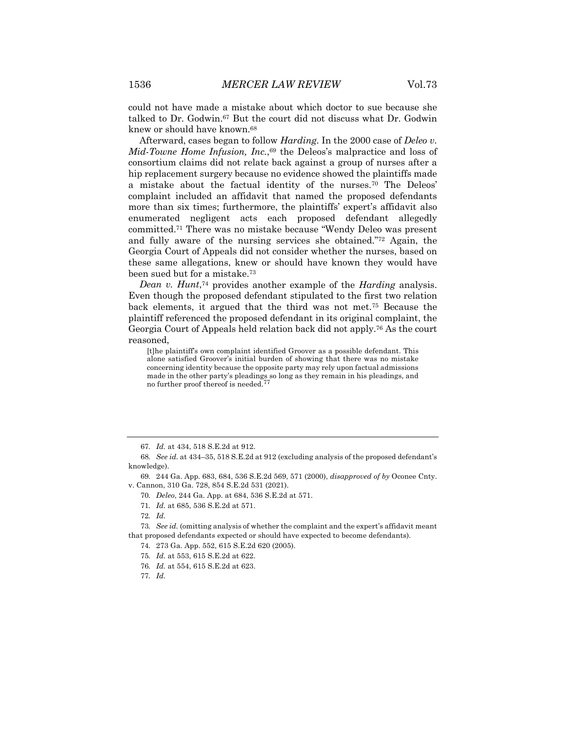could not have made a mistake about which doctor to sue because she talked to Dr. Godwin.<sup>67</sup> But the court did not discuss what Dr. Godwin knew or should have known.68

Afterward, cases began to follow *Harding*. In the 2000 case of *Deleo v. Mid-Towne Home Infusion, Inc.*,69 the Deleos's malpractice and loss of consortium claims did not relate back against a group of nurses after a hip replacement surgery because no evidence showed the plaintiffs made a mistake about the factual identity of the nurses.70 The Deleos' complaint included an affidavit that named the proposed defendants more than six times; furthermore, the plaintiffs' expert's affidavit also enumerated negligent acts each proposed defendant allegedly committed.71 There was no mistake because "Wendy Deleo was present and fully aware of the nursing services she obtained."72 Again, the Georgia Court of Appeals did not consider whether the nurses, based on these same allegations, knew or should have known they would have been sued but for a mistake.73

*Dean v. Hunt*,<sup>74</sup> provides another example of the *Harding* analysis. Even though the proposed defendant stipulated to the first two relation back elements, it argued that the third was not met.75 Because the plaintiff referenced the proposed defendant in its original complaint, the Georgia Court of Appeals held relation back did not apply.76 As the court reasoned,

[t]he plaintiff's own complaint identified Groover as a possible defendant. This alone satisfied Groover's initial burden of showing that there was no mistake concerning identity because the opposite party may rely upon factual admissions made in the other party's pleadings so long as they remain in his pleadings, and no further proof thereof is needed.77

69. 244 Ga. App. 683, 684, 536 S.E.2d 569, 571 (2000), *disapproved of by* Oconee Cnty. v. Cannon, 310 Ga. 728, 854 S.E.2d 531 (2021).

70*. Deleo*, 244 Ga. App. at 684, 536 S.E.2d at 571.

71*. Id.* at 685, 536 S.E.2d at 571.

73*. See id.* (omitting analysis of whether the complaint and the expert's affidavit meant that proposed defendants expected or should have expected to become defendants).

74. 273 Ga. App. 552, 615 S.E.2d 620 (2005).

<sup>67</sup>*. Id.* at 434, 518 S.E.2d at 912.

<sup>68</sup>*. See id.* at 434–35, 518 S.E.2d at 912 (excluding analysis of the proposed defendant's knowledge).

<sup>72</sup>*. Id.*

<sup>75</sup>*. Id.* at 553, 615 S.E.2d at 622.

<sup>76</sup>*. Id.* at 554, 615 S.E.2d at 623.

<sup>77</sup>*. Id.*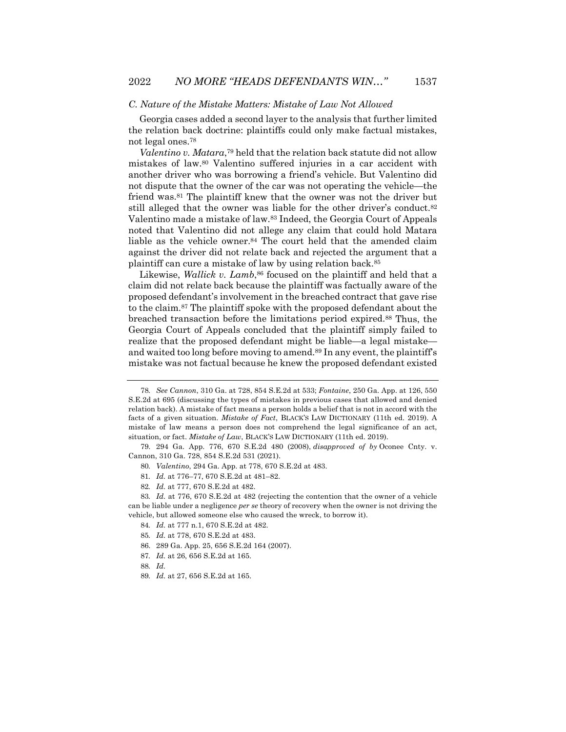#### *C. Nature of the Mistake Matters: Mistake of Law Not Allowed*

Georgia cases added a second layer to the analysis that further limited the relation back doctrine: plaintiffs could only make factual mistakes, not legal ones.78

*Valentino v. Matara*,79 held that the relation back statute did not allow mistakes of law.80 Valentino suffered injuries in a car accident with another driver who was borrowing a friend's vehicle. But Valentino did not dispute that the owner of the car was not operating the vehicle—the friend was.81 The plaintiff knew that the owner was not the driver but still alleged that the owner was liable for the other driver's conduct.<sup>82</sup> Valentino made a mistake of law.83 Indeed, the Georgia Court of Appeals noted that Valentino did not allege any claim that could hold Matara liable as the vehicle owner.84 The court held that the amended claim against the driver did not relate back and rejected the argument that a plaintiff can cure a mistake of law by using relation back.85

Likewise, *Wallick v. Lamb*,<sup>86</sup> focused on the plaintiff and held that a claim did not relate back because the plaintiff was factually aware of the proposed defendant's involvement in the breached contract that gave rise to the claim.87 The plaintiff spoke with the proposed defendant about the breached transaction before the limitations period expired.88 Thus, the Georgia Court of Appeals concluded that the plaintiff simply failed to realize that the proposed defendant might be liable—a legal mistake and waited too long before moving to amend.<sup>89</sup> In any event, the plaintiff's mistake was not factual because he knew the proposed defendant existed

- 84*. Id.* at 777 n.1, 670 S.E.2d at 482.
- 85*. Id.* at 778, 670 S.E.2d at 483.
- 86. 289 Ga. App. 25, 656 S.E.2d 164 (2007).
- 87*. Id.* at 26, 656 S.E.2d at 165.
- 88*. Id.*
- 89*. Id.* at 27, 656 S.E.2d at 165.

<sup>78</sup>*. See Cannon*, 310 Ga. at 728, 854 S.E.2d at 533; *Fontaine*, 250 Ga. App. at 126, 550 S.E.2d at 695 (discussing the types of mistakes in previous cases that allowed and denied relation back). A mistake of fact means a person holds a belief that is not in accord with the facts of a given situation. *Mistake of Fact*, BLACK'S LAW DICTIONARY (11th ed. 2019). A mistake of law means a person does not comprehend the legal significance of an act, situation, or fact. *Mistake of Law*, BLACK'S LAW DICTIONARY (11th ed. 2019).

<sup>79.</sup> 294 Ga. App. 776, 670 S.E.2d 480 (2008), *disapproved of by* Oconee Cnty. v. Cannon, 310 Ga. 728, 854 S.E.2d 531 (2021).

<sup>80</sup>*. Valentino*, 294 Ga. App. at 778, 670 S.E.2d at 483.

<sup>81</sup>*. Id.* at 776–77, 670 S.E.2d at 481–82.

<sup>82</sup>*. Id.* at 777, 670 S.E.2d at 482.

<sup>83</sup>*. Id.* at 776, 670 S.E.2d at 482 (rejecting the contention that the owner of a vehicle can be liable under a negligence *per se* theory of recovery when the owner is not driving the vehicle, but allowed someone else who caused the wreck, to borrow it).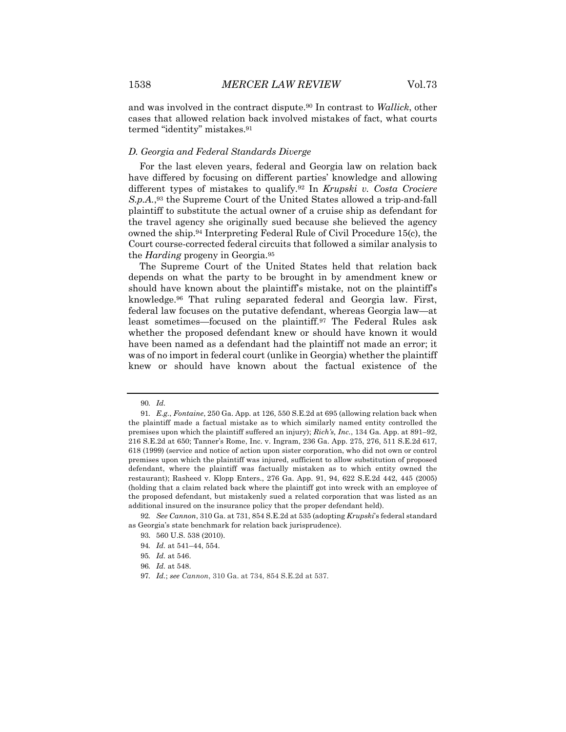and was involved in the contract dispute.90 In contrast to *Wallick*, other cases that allowed relation back involved mistakes of fact, what courts termed "identity" mistakes.91

#### *D. Georgia and Federal Standards Diverge*

For the last eleven years, federal and Georgia law on relation back have differed by focusing on different parties' knowledge and allowing different types of mistakes to qualify.92 In *Krupski v. Costa Crociere S.p.A.*,93 the Supreme Court of the United States allowed a trip-and-fall plaintiff to substitute the actual owner of a cruise ship as defendant for the travel agency she originally sued because she believed the agency owned the ship.94 Interpreting Federal Rule of Civil Procedure 15(c), the Court course-corrected federal circuits that followed a similar analysis to the *Harding* progeny in Georgia.95

The Supreme Court of the United States held that relation back depends on what the party to be brought in by amendment knew or should have known about the plaintiff's mistake, not on the plaintiff's knowledge.96 That ruling separated federal and Georgia law. First, federal law focuses on the putative defendant, whereas Georgia law—at least sometimes—focused on the plaintiff.97 The Federal Rules ask whether the proposed defendant knew or should have known it would have been named as a defendant had the plaintiff not made an error; it was of no import in federal court (unlike in Georgia) whether the plaintiff knew or should have known about the factual existence of the

<sup>90</sup>*. Id.*

<sup>91</sup>*. E.g.*, *Fontaine*, 250 Ga. App. at 126, 550 S.E.2d at 695 (allowing relation back when the plaintiff made a factual mistake as to which similarly named entity controlled the premises upon which the plaintiff suffered an injury); *Rich's, Inc.*, 134 Ga. App. at 891–92, 216 S.E.2d at 650; Tanner's Rome, Inc. v. Ingram, 236 Ga. App. 275, 276, 511 S.E.2d 617, 618 (1999) (service and notice of action upon sister corporation, who did not own or control premises upon which the plaintiff was injured, sufficient to allow substitution of proposed defendant, where the plaintiff was factually mistaken as to which entity owned the restaurant); Rasheed v. Klopp Enters., 276 Ga. App. 91, 94, 622 S.E.2d 442, 445 (2005) (holding that a claim related back where the plaintiff got into wreck with an employee of the proposed defendant, but mistakenly sued a related corporation that was listed as an additional insured on the insurance policy that the proper defendant held).

<sup>92</sup>*. See Cannon*, 310 Ga. at 731, 854 S.E.2d at 535 (adopting *Krupski*'s federal standard as Georgia's state benchmark for relation back jurisprudence).

<sup>93.</sup> 560 U.S. 538 (2010).

<sup>94</sup>*. Id.* at 541–44, 554.

<sup>95</sup>*. Id.* at 546.

<sup>96</sup>*. Id.* at 548.

<sup>97</sup>*. Id.*; *see Cannon*, 310 Ga. at 734, 854 S.E.2d at 537.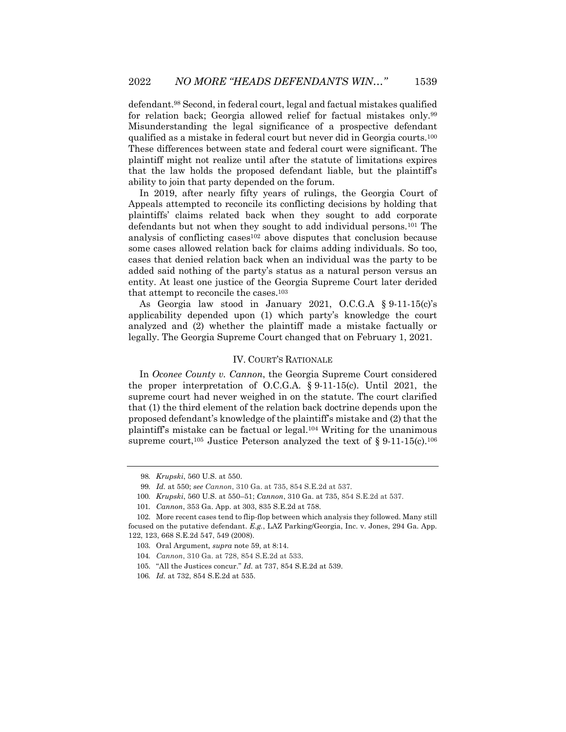defendant.98 Second, in federal court, legal and factual mistakes qualified for relation back; Georgia allowed relief for factual mistakes only.99 Misunderstanding the legal significance of a prospective defendant qualified as a mistake in federal court but never did in Georgia courts.100 These differences between state and federal court were significant. The plaintiff might not realize until after the statute of limitations expires that the law holds the proposed defendant liable, but the plaintiff's ability to join that party depended on the forum.

In 2019, after nearly fifty years of rulings, the Georgia Court of Appeals attempted to reconcile its conflicting decisions by holding that plaintiffs' claims related back when they sought to add corporate defendants but not when they sought to add individual persons.101 The analysis of conflicting cases<sup>102</sup> above disputes that conclusion because some cases allowed relation back for claims adding individuals. So too, cases that denied relation back when an individual was the party to be added said nothing of the party's status as a natural person versus an entity. At least one justice of the Georgia Supreme Court later derided that attempt to reconcile the cases.103

As Georgia law stood in January 2021, O.C.G.A § 9-11-15(c)'s applicability depended upon (1) which party's knowledge the court analyzed and (2) whether the plaintiff made a mistake factually or legally. The Georgia Supreme Court changed that on February 1, 2021.

#### IV. COURT'S RATIONALE

In *Oconee County v. Cannon*, the Georgia Supreme Court considered the proper interpretation of O.C.G.A. § 9-11-15(c). Until 2021, the supreme court had never weighed in on the statute. The court clarified that (1) the third element of the relation back doctrine depends upon the proposed defendant's knowledge of the plaintiff's mistake and (2) that the plaintiff's mistake can be factual or legal.104 Writing for the unanimous supreme court,<sup>105</sup> Justice Peterson analyzed the text of  $\S 9-11-15(c)$ .<sup>106</sup>

<sup>98</sup>*. Krupski*, 560 U.S. at 550.

<sup>99</sup>*. Id.* at 550; *see Cannon*, 310 Ga. at 735, 854 S.E.2d at 537.

<sup>100</sup>*. Krupski*, 560 U.S. at 550–51; *Cannon*, 310 Ga. at 735, 854 S.E.2d at 537.

<sup>101</sup>*. Cannon*, 353 Ga. App. at 303, 835 S.E.2d at 758.

<sup>102.</sup> More recent cases tend to flip-flop between which analysis they followed. Many still focused on the putative defendant. *E.g.*, LAZ Parking/Georgia, Inc. v. Jones, 294 Ga. App. 122, 123, 668 S.E.2d 547, 549 (2008).

<sup>103.</sup> Oral Argument*, supra* note 59, at 8:14.

<sup>104</sup>*. Cannon*, 310 Ga. at 728, 854 S.E.2d at 533.

<sup>105.</sup> "All the Justices concur." *Id.* at 737, 854 S.E.2d at 539.

<sup>106</sup>*. Id.* at 732, 854 S.E.2d at 535.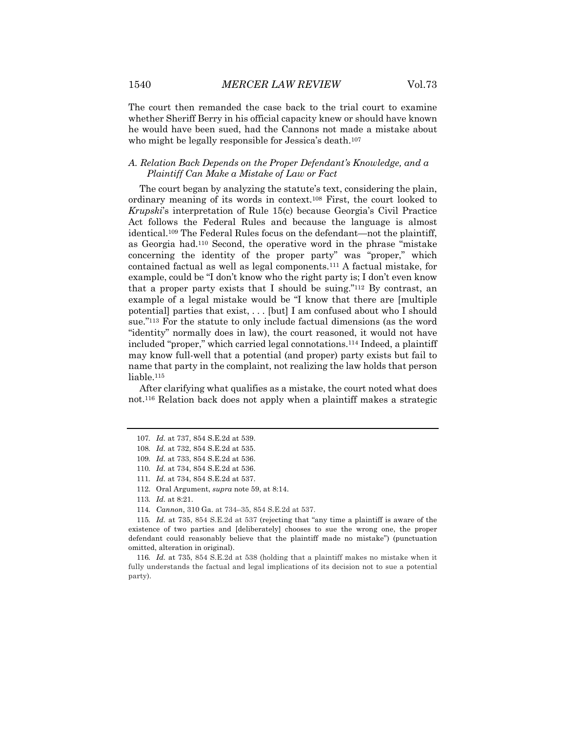The court then remanded the case back to the trial court to examine whether Sheriff Berry in his official capacity knew or should have known he would have been sued, had the Cannons not made a mistake about who might be legally responsible for Jessica's death.<sup>107</sup>

### *A. Relation Back Depends on the Proper Defendant's Knowledge, and a Plaintiff Can Make a Mistake of Law or Fact*

The court began by analyzing the statute's text, considering the plain, ordinary meaning of its words in context.108 First, the court looked to *Krupski*'s interpretation of Rule 15(c) because Georgia's Civil Practice Act follows the Federal Rules and because the language is almost identical.109 The Federal Rules focus on the defendant—not the plaintiff, as Georgia had.110 Second, the operative word in the phrase "mistake concerning the identity of the proper party" was "proper," which contained factual as well as legal components.111 A factual mistake, for example, could be "I don't know who the right party is; I don't even know that a proper party exists that I should be suing."112 By contrast, an example of a legal mistake would be "I know that there are [multiple potential] parties that exist, . . . [but] I am confused about who I should sue."113 For the statute to only include factual dimensions (as the word "identity" normally does in law), the court reasoned, it would not have included "proper," which carried legal connotations.114 Indeed, a plaintiff may know full-well that a potential (and proper) party exists but fail to name that party in the complaint, not realizing the law holds that person liable.115

After clarifying what qualifies as a mistake, the court noted what does not.116 Relation back does not apply when a plaintiff makes a strategic

114*. Cannon*, 310 Ga. at 734–35, 854 S.E.2d at 537.

<sup>107</sup>*. Id.* at 737, 854 S.E.2d at 539.

<sup>108</sup>*. Id.* at 732, 854 S.E.2d at 535.

<sup>109</sup>*. Id.* at 733, 854 S.E.2d at 536.

<sup>110</sup>*. Id.* at 734, 854 S.E.2d at 536.

<sup>111</sup>*. Id.* at 734, 854 S.E.2d at 537.

<sup>112.</sup> Oral Argument, *supra* note 59, at 8:14.

<sup>113</sup>*. Id.* at 8:21.

<sup>115</sup>*. Id.* at 735, 854 S.E.2d at 537 (rejecting that "any time a plaintiff is aware of the existence of two parties and [deliberately] chooses to sue the wrong one, the proper defendant could reasonably believe that the plaintiff made no mistake") (punctuation omitted, alteration in original).

<sup>116</sup>*. Id.* at 735, 854 S.E.2d at 538 (holding that a plaintiff makes no mistake when it fully understands the factual and legal implications of its decision not to sue a potential party).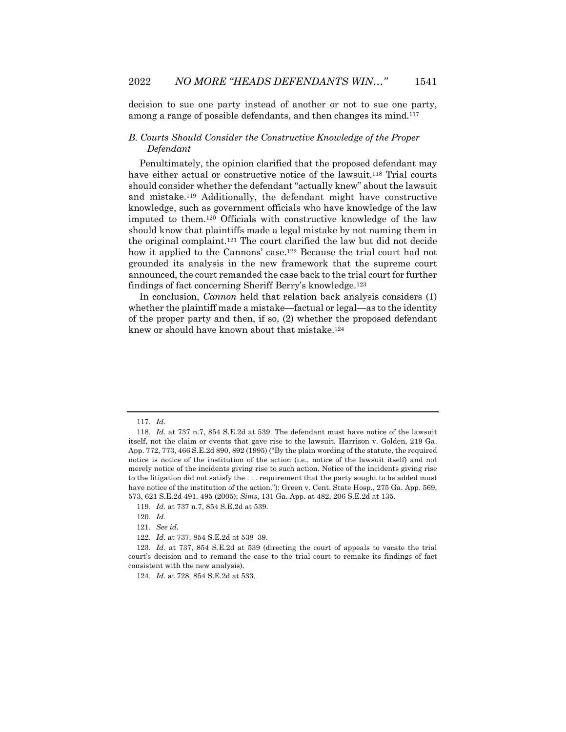decision to sue one party instead of another or not to sue one party, among a range of possible defendants, and then changes its mind.117

## *B. Courts Should Consider the Constructive Knowledge of the Proper Defendant*

Penultimately, the opinion clarified that the proposed defendant may have either actual or constructive notice of the lawsuit.<sup>118</sup> Trial courts should consider whether the defendant "actually knew" about the lawsuit and mistake.119 Additionally, the defendant might have constructive knowledge, such as government officials who have knowledge of the law imputed to them.120 Officials with constructive knowledge of the law should know that plaintiffs made a legal mistake by not naming them in the original complaint.121 The court clarified the law but did not decide how it applied to the Cannons' case.<sup>122</sup> Because the trial court had not grounded its analysis in the new framework that the supreme court announced, the court remanded the case back to the trial court for further findings of fact concerning Sheriff Berry's knowledge.123

In conclusion, *Cannon* held that relation back analysis considers (1) whether the plaintiff made a mistake—factual or legal—as to the identity of the proper party and then, if so, (2) whether the proposed defendant knew or should have known about that mistake.124

<sup>117</sup>*. Id.*

<sup>118</sup>*. Id.* at 737 n.7, 854 S.E.2d at 539. The defendant must have notice of the lawsuit itself, not the claim or events that gave rise to the lawsuit. Harrison v. Golden, 219 Ga. App. 772, 773, 466 S.E.2d 890, 892 (1995) ("By the plain wording of the statute, the required notice is notice of the institution of the action (i.e., notice of the lawsuit itself) and not merely notice of the incidents giving rise to such action. Notice of the incidents giving rise to the litigation did not satisfy the . . . requirement that the party sought to be added must have notice of the institution of the action."); Green v. Cent. State Hosp., 275 Ga. App. 569, 573, 621 S.E.2d 491, 495 (2005); *Sims*, 131 Ga. App. at 482, 206 S.E.2d at 135.

<sup>119</sup>*. Id.* at 737 n.7, 854 S.E.2d at 539.

<sup>120</sup>*. Id.*

<sup>121</sup>*. See id.*

<sup>122</sup>*. Id.* at 737, 854 S.E.2d at 538–39.

<sup>123</sup>*. Id.* at 737, 854 S.E.2d at 539 (directing the court of appeals to vacate the trial court's decision and to remand the case to the trial court to remake its findings of fact consistent with the new analysis).

<sup>124</sup>*. Id.* at 728, 854 S.E.2d at 533.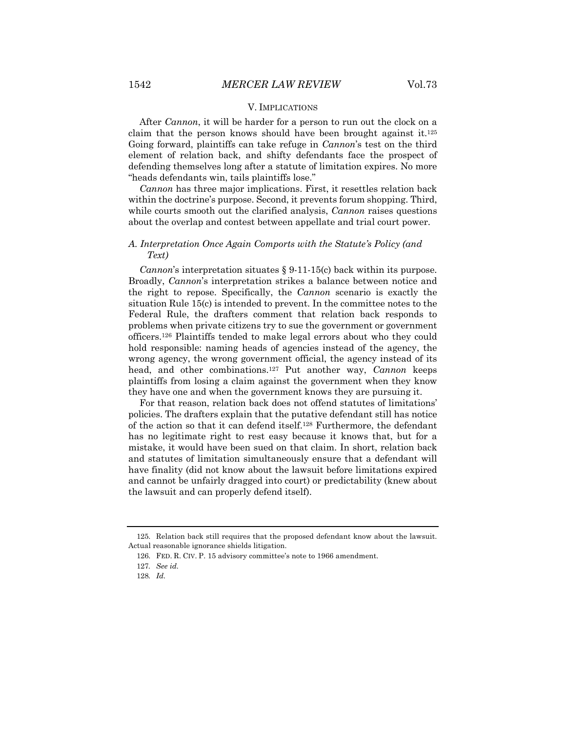#### V. IMPLICATIONS

After *Cannon*, it will be harder for a person to run out the clock on a claim that the person knows should have been brought against it.<sup>125</sup> Going forward, plaintiffs can take refuge in *Cannon*'s test on the third element of relation back, and shifty defendants face the prospect of defending themselves long after a statute of limitation expires. No more "heads defendants win, tails plaintiffs lose."

*Cannon* has three major implications. First, it resettles relation back within the doctrine's purpose. Second, it prevents forum shopping. Third, while courts smooth out the clarified analysis, *Cannon* raises questions about the overlap and contest between appellate and trial court power.

## *A. Interpretation Once Again Comports with the Statute's Policy (and Text)*

*Cannon*'s interpretation situates § 9-11-15(c) back within its purpose. Broadly, *Cannon*'s interpretation strikes a balance between notice and the right to repose. Specifically, the *Cannon* scenario is exactly the situation Rule 15(c) is intended to prevent. In the committee notes to the Federal Rule, the drafters comment that relation back responds to problems when private citizens try to sue the government or government officers.126 Plaintiffs tended to make legal errors about who they could hold responsible: naming heads of agencies instead of the agency, the wrong agency, the wrong government official, the agency instead of its head, and other combinations.127 Put another way, *Cannon* keeps plaintiffs from losing a claim against the government when they know they have one and when the government knows they are pursuing it.

For that reason, relation back does not offend statutes of limitations' policies. The drafters explain that the putative defendant still has notice of the action so that it can defend itself.128 Furthermore, the defendant has no legitimate right to rest easy because it knows that, but for a mistake, it would have been sued on that claim. In short, relation back and statutes of limitation simultaneously ensure that a defendant will have finality (did not know about the lawsuit before limitations expired and cannot be unfairly dragged into court) or predictability (knew about the lawsuit and can properly defend itself).

<sup>125.</sup> Relation back still requires that the proposed defendant know about the lawsuit. Actual reasonable ignorance shields litigation.

<sup>126.</sup> FED. R. CIV. P. 15 advisory committee's note to 1966 amendment.

<sup>127</sup>*. See id.*

<sup>128</sup>*. Id.*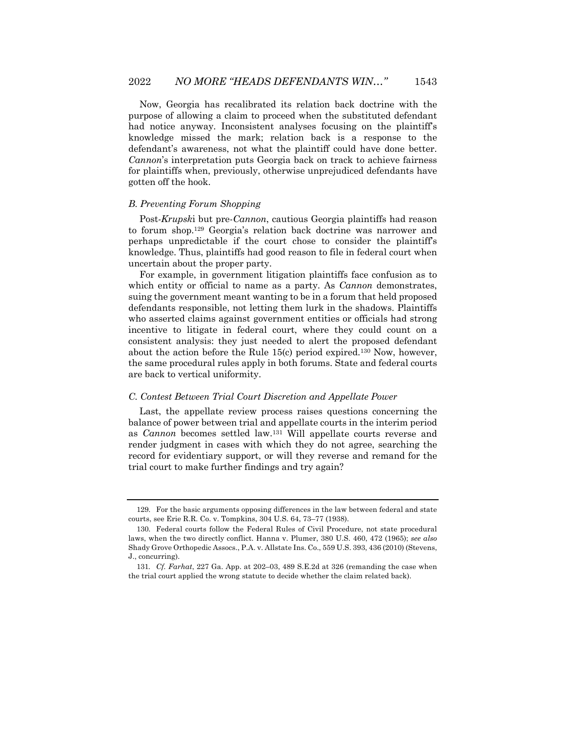Now, Georgia has recalibrated its relation back doctrine with the purpose of allowing a claim to proceed when the substituted defendant had notice anyway. Inconsistent analyses focusing on the plaintiff's knowledge missed the mark; relation back is a response to the defendant's awareness, not what the plaintiff could have done better. *Cannon*'s interpretation puts Georgia back on track to achieve fairness for plaintiffs when, previously, otherwise unprejudiced defendants have gotten off the hook.

#### *B. Preventing Forum Shopping*

Post-*Krupsk*i but pre-*Cannon*, cautious Georgia plaintiffs had reason to forum shop.129 Georgia's relation back doctrine was narrower and perhaps unpredictable if the court chose to consider the plaintiff's knowledge. Thus, plaintiffs had good reason to file in federal court when uncertain about the proper party.

For example, in government litigation plaintiffs face confusion as to which entity or official to name as a party. As *Cannon* demonstrates, suing the government meant wanting to be in a forum that held proposed defendants responsible, not letting them lurk in the shadows. Plaintiffs who asserted claims against government entities or officials had strong incentive to litigate in federal court, where they could count on a consistent analysis: they just needed to alert the proposed defendant about the action before the Rule 15(c) period expired.130 Now, however, the same procedural rules apply in both forums. State and federal courts are back to vertical uniformity.

#### *C. Contest Between Trial Court Discretion and Appellate Power*

Last, the appellate review process raises questions concerning the balance of power between trial and appellate courts in the interim period as *Cannon* becomes settled law.131 Will appellate courts reverse and render judgment in cases with which they do not agree, searching the record for evidentiary support, or will they reverse and remand for the trial court to make further findings and try again?

<sup>129.</sup> For the basic arguments opposing differences in the law between federal and state courts, see Erie R.R. Co. v. Tompkins, 304 U.S. 64, 73–77 (1938).

<sup>130.</sup> Federal courts follow the Federal Rules of Civil Procedure, not state procedural laws, when the two directly conflict. Hanna v. Plumer, 380 U.S. 460, 472 (1965); *see also*  Shady Grove Orthopedic Assocs., P.A. v. Allstate Ins. Co., 559 U.S. 393, 436 (2010) (Stevens, J., concurring).

<sup>131</sup>*. Cf. Farhat*, 227 Ga. App. at 202–03, 489 S.E.2d at 326 (remanding the case when the trial court applied the wrong statute to decide whether the claim related back).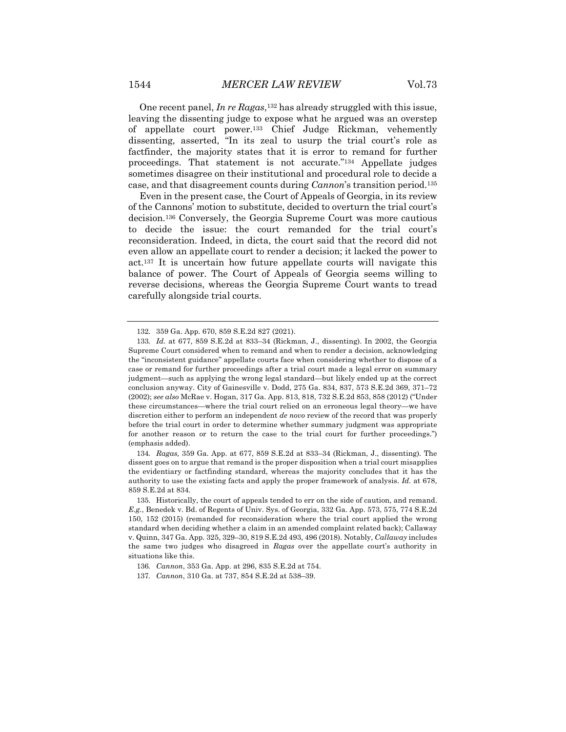One recent panel, *In re Ragas*,132 has already struggled with this issue, leaving the dissenting judge to expose what he argued was an overstep of appellate court power.133 Chief Judge Rickman, vehemently dissenting, asserted, "In its zeal to usurp the trial court's role as factfinder, the majority states that it is error to remand for further proceedings. That statement is not accurate."134 Appellate judges sometimes disagree on their institutional and procedural role to decide a

case, and that disagreement counts during *Cannon*'s transition period.135 Even in the present case, the Court of Appeals of Georgia, in its review of the Cannons' motion to substitute, decided to overturn the trial court's decision.136 Conversely, the Georgia Supreme Court was more cautious to decide the issue: the court remanded for the trial court's reconsideration. Indeed, in dicta, the court said that the record did not even allow an appellate court to render a decision; it lacked the power to act.137 It is uncertain how future appellate courts will navigate this balance of power. The Court of Appeals of Georgia seems willing to reverse decisions, whereas the Georgia Supreme Court wants to tread carefully alongside trial courts.

134*. Ragas,* 359 Ga. App. at 677, 859 S.E.2d at 833–34 (Rickman, J., dissenting)*.* The dissent goes on to argue that remand is the proper disposition when a trial court misapplies the evidentiary or factfinding standard, whereas the majority concludes that it has the authority to use the existing facts and apply the proper framework of analysis. *Id.* at 678, 859 S.E.2d at 834.

<sup>132.</sup> 359 Ga. App. 670, 859 S.E.2d 827 (2021).

<sup>133</sup>*. Id.* at 677, 859 S.E.2d at 833–34 (Rickman, J., dissenting). In 2002, the Georgia Supreme Court considered when to remand and when to render a decision, acknowledging the "inconsistent guidance" appellate courts face when considering whether to dispose of a case or remand for further proceedings after a trial court made a legal error on summary judgment—such as applying the wrong legal standard—but likely ended up at the correct conclusion anyway. City of Gainesville v. Dodd, 275 Ga. 834, 837, 573 S.E.2d 369, 371–72 (2002); *see also* McRae v. Hogan, 317 Ga. App. 813, 818, 732 S.E.2d 853, 858 (2012) ("Under these circumstances—where the trial court relied on an erroneous legal theory—we have discretion either to perform an independent *de novo* review of the record that was properly before the trial court in order to determine whether summary judgment was appropriate for another reason or to return the case to the trial court for further proceedings.") (emphasis added).

<sup>135.</sup> Historically, the court of appeals tended to err on the side of caution, and remand. *E.g.*, Benedek v. Bd. of Regents of Univ. Sys. of Georgia, 332 Ga. App. 573, 575, 774 S.E.2d 150, 152 (2015) (remanded for reconsideration where the trial court applied the wrong standard when deciding whether a claim in an amended complaint related back); Callaway v. Quinn, 347 Ga. App. 325, 329–30, 819 S.E.2d 493, 496 (2018). Notably, *Callaway* includes the same two judges who disagreed in *Ragas* over the appellate court's authority in situations like this.

<sup>136</sup>*. Cannon*, 353 Ga. App. at 296, 835 S.E.2d at 754.

<sup>137</sup>*. Cannon*, 310 Ga. at 737, 854 S.E.2d at 538–39.